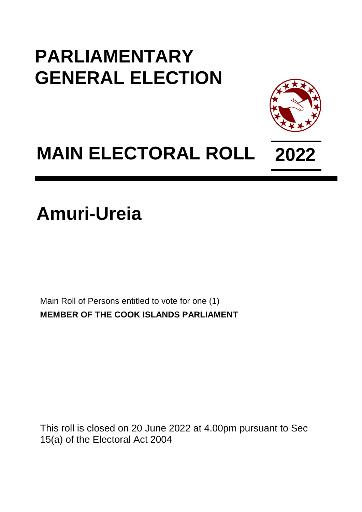## **PARLIAMENTARY GENERAL ELECTION**



## **MAIN ELECTORAL ROLL 2022**

**Amuri-Ureia**

Main Roll of Persons entitled to vote for one (1) **MEMBER OF THE COOK ISLANDS PARLIAMENT**

This roll is closed on 20 June 2022 at 4.00pm pursuant to Sec 15(a) of the Electoral Act 2004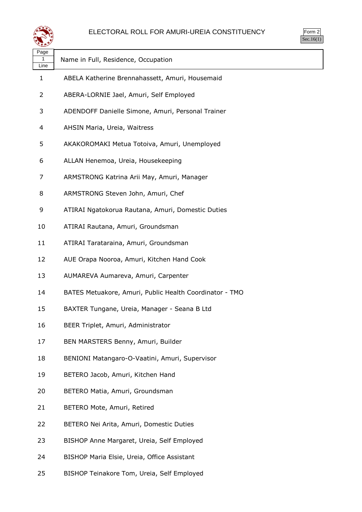

| Page<br>1<br>Line | Name in Full, Residence, Occupation                     |
|-------------------|---------------------------------------------------------|
| 1                 | ABELA Katherine Brennahassett, Amuri, Housemaid         |
| 2                 | ABERA-LORNIE Jael, Amuri, Self Employed                 |
| 3                 | ADENDOFF Danielle Simone, Amuri, Personal Trainer       |
| 4                 | AHSIN Maria, Ureia, Waitress                            |
| 5                 | AKAKOROMAKI Metua Totoiva, Amuri, Unemployed            |
| 6                 | ALLAN Henemoa, Ureia, Housekeeping                      |
| 7                 | ARMSTRONG Katrina Arii May, Amuri, Manager              |
| 8                 | ARMSTRONG Steven John, Amuri, Chef                      |
| 9                 | ATIRAI Ngatokorua Rautana, Amuri, Domestic Duties       |
| 10                | ATIRAI Rautana, Amuri, Groundsman                       |
| 11                | ATIRAI Tarataraina, Amuri, Groundsman                   |
| 12                | AUE Orapa Nooroa, Amuri, Kitchen Hand Cook              |
| 13                | AUMAREVA Aumareva, Amuri, Carpenter                     |
| 14                | BATES Metuakore, Amuri, Public Health Coordinator - TMO |
| 15                | BAXTER Tungane, Ureia, Manager - Seana B Ltd            |
| 16                | BEER Triplet, Amuri, Administrator                      |
| 17                | BEN MARSTERS Benny, Amuri, Builder                      |
| 18                | BENIONI Matangaro-O-Vaatini, Amuri, Supervisor          |
| 19                | BETERO Jacob, Amuri, Kitchen Hand                       |
| 20                | BETERO Matia, Amuri, Groundsman                         |
| 21                | BETERO Mote, Amuri, Retired                             |
| 22                | BETERO Nei Arita, Amuri, Domestic Duties                |
| 23                | BISHOP Anne Margaret, Ureia, Self Employed              |
| 24                | BISHOP Maria Elsie, Ureia, Office Assistant             |
| 25                | BISHOP Teinakore Tom, Ureia, Self Employed              |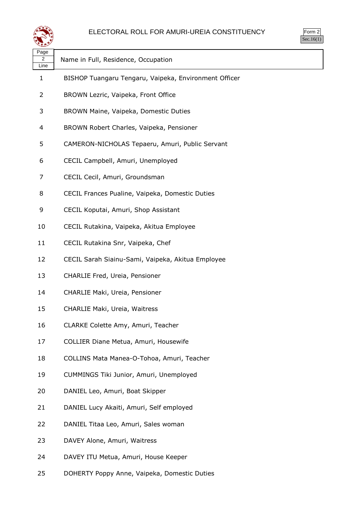

| ⋘                        |                                                       |
|--------------------------|-------------------------------------------------------|
| Page<br>2<br>Line        | Name in Full, Residence, Occupation                   |
| 1                        | BISHOP Tuangaru Tengaru, Vaipeka, Environment Officer |
| $\overline{2}$           | BROWN Lezric, Vaipeka, Front Office                   |
| 3                        | BROWN Maine, Vaipeka, Domestic Duties                 |
| $\overline{\mathcal{A}}$ | BROWN Robert Charles, Vaipeka, Pensioner              |
| 5                        | CAMERON-NICHOLAS Tepaeru, Amuri, Public Servant       |
| 6                        | CECIL Campbell, Amuri, Unemployed                     |
| 7                        | CECIL Cecil, Amuri, Groundsman                        |
| 8                        | CECIL Frances Pualine, Vaipeka, Domestic Duties       |
| 9                        | CECIL Koputai, Amuri, Shop Assistant                  |
| 10                       | CECIL Rutakina, Vaipeka, Akitua Employee              |
| 11                       | CECIL Rutakina Snr, Vaipeka, Chef                     |
| 12                       | CECIL Sarah Siainu-Sami, Vaipeka, Akitua Employee     |
| 13                       | CHARLIE Fred, Ureia, Pensioner                        |
| 14                       | CHARLIE Maki, Ureia, Pensioner                        |
| 15                       | CHARLIE Maki, Ureia, Waitress                         |
| 16                       | CLARKE Colette Amy, Amuri, Teacher                    |
| 17                       | COLLIER Diane Metua, Amuri, Housewife                 |
| 18                       | COLLINS Mata Manea-O-Tohoa, Amuri, Teacher            |
| 19                       | CUMMINGS Tiki Junior, Amuri, Unemployed               |
| 20                       | DANIEL Leo, Amuri, Boat Skipper                       |
| 21                       | DANIEL Lucy Akaiti, Amuri, Self employed              |
| 22                       | DANIEL Titaa Leo, Amuri, Sales woman                  |
| 23                       | DAVEY Alone, Amuri, Waitress                          |
| 24                       | DAVEY ITU Metua, Amuri, House Keeper                  |
| 25                       | DOHERTY Poppy Anne, Vaipeka, Domestic Duties          |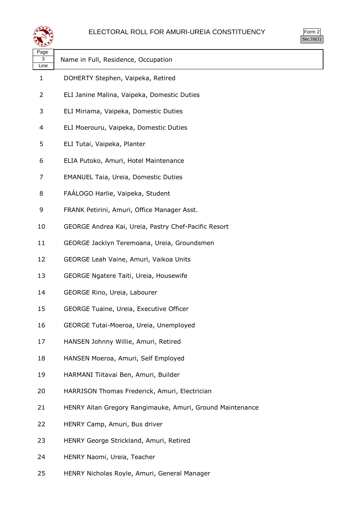

| 1<br>r |
|--------|
|        |

| لتحقيقه           |                                                           |
|-------------------|-----------------------------------------------------------|
| Page<br>3<br>Line | Name in Full, Residence, Occupation                       |
| 1                 | DOHERTY Stephen, Vaipeka, Retired                         |
| 2                 | ELI Janine Malina, Vaipeka, Domestic Duties               |
| 3                 | ELI Miriama, Vaipeka, Domestic Duties                     |
| 4                 | ELI Moerouru, Vaipeka, Domestic Duties                    |
| 5                 | ELI Tutai, Vaipeka, Planter                               |
| 6                 | ELIA Putoko, Amuri, Hotel Maintenance                     |
| 7                 | <b>EMANUEL Taia, Ureia, Domestic Duties</b>               |
| 8                 | FAÁLOGO Harlie, Vaipeka, Student                          |
| 9                 | FRANK Petirini, Amuri, Office Manager Asst.               |
| 10                | GEORGE Andrea Kai, Ureia, Pastry Chef-Pacific Resort      |
| 11                | GEORGE Jacklyn Teremoana, Ureia, Groundsmen               |
| 12                | GEORGE Leah Vaine, Amuri, Vaikoa Units                    |
| 13                | GEORGE Ngatere Taiti, Ureia, Housewife                    |
| 14                | GEORGE Rino, Ureia, Labourer                              |
| 15                | GEORGE Tuaine, Ureia, Executive Officer                   |
| 16                | GEORGE Tutai-Moeroa, Ureia, Unemployed                    |
| 17                | HANSEN Johnny Willie, Amuri, Retired                      |
| 18                | HANSEN Moeroa, Amuri, Self Employed                       |
| 19                | HARMANI Tiitavai Ben, Amuri, Builder                      |
| 20                | HARRISON Thomas Frederick, Amuri, Electrician             |
| 21                | HENRY Allan Gregory Rangimauke, Amuri, Ground Maintenance |
| 22                | HENRY Camp, Amuri, Bus driver                             |
| 23                | HENRY George Strickland, Amuri, Retired                   |
| 24                | HENRY Naomi, Ureia, Teacher                               |

HENRY Nicholas Royle, Amuri, General Manager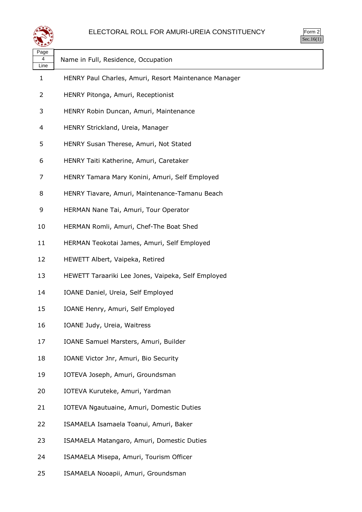

| Page<br>4<br>Line | Name in Full, Residence, Occupation                   |
|-------------------|-------------------------------------------------------|
| 1                 | HENRY Paul Charles, Amuri, Resort Maintenance Manager |
| 2                 | HENRY Pitonga, Amuri, Receptionist                    |
| 3                 | HENRY Robin Duncan, Amuri, Maintenance                |
| 4                 | HENRY Strickland, Ureia, Manager                      |
| 5                 | HENRY Susan Therese, Amuri, Not Stated                |
| 6                 | HENRY Taiti Katherine, Amuri, Caretaker               |
| 7                 | HENRY Tamara Mary Konini, Amuri, Self Employed        |
| 8                 | HENRY Tiavare, Amuri, Maintenance-Tamanu Beach        |
| 9                 | HERMAN Nane Tai, Amuri, Tour Operator                 |
| 10                | HERMAN Romli, Amuri, Chef-The Boat Shed               |
| 11                | HERMAN Teokotai James, Amuri, Self Employed           |
| 12                | HEWETT Albert, Vaipeka, Retired                       |
| 13                | HEWETT Taraariki Lee Jones, Vaipeka, Self Employed    |
| 14                | IOANE Daniel, Ureia, Self Employed                    |
| 15                | IOANE Henry, Amuri, Self Employed                     |
| 16                | IOANE Judy, Ureia, Waitress                           |
| 17                | IOANE Samuel Marsters, Amuri, Builder                 |
| 18                | IOANE Victor Jnr, Amuri, Bio Security                 |
| 19                | IOTEVA Joseph, Amuri, Groundsman                      |
| 20                | IOTEVA Kuruteke, Amuri, Yardman                       |
| 21                | IOTEVA Ngautuaine, Amuri, Domestic Duties             |
| 22                | ISAMAELA Isamaela Toanui, Amuri, Baker                |
| 23                | ISAMAELA Matangaro, Amuri, Domestic Duties            |
| 24                | ISAMAELA Misepa, Amuri, Tourism Officer               |
| 25                | ISAMAELA Nooapii, Amuri, Groundsman                   |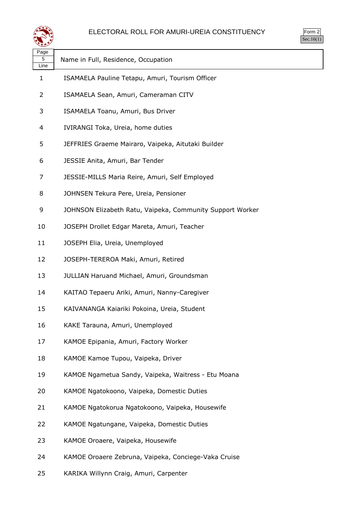

| ---               |                                                           |
|-------------------|-----------------------------------------------------------|
| Page<br>5<br>Line | Name in Full, Residence, Occupation                       |
| $\mathbf{1}$      | ISAMAELA Pauline Tetapu, Amuri, Tourism Officer           |
| 2                 | ISAMAELA Sean, Amuri, Cameraman CITV                      |
| 3                 | ISAMAELA Toanu, Amuri, Bus Driver                         |
| 4                 | IVIRANGI Toka, Ureia, home duties                         |
| 5                 | JEFFRIES Graeme Mairaro, Vaipeka, Aitutaki Builder        |
| 6                 | JESSIE Anita, Amuri, Bar Tender                           |
| 7                 | JESSIE-MILLS Maria Reire, Amuri, Self Employed            |
| 8                 | JOHNSEN Tekura Pere, Ureia, Pensioner                     |
| 9                 | JOHNSON Elizabeth Ratu, Vaipeka, Community Support Worker |
| 10                | JOSEPH Drollet Edgar Mareta, Amuri, Teacher               |
| 11                | JOSEPH Elia, Ureia, Unemployed                            |
| 12                | JOSEPH-TEREROA Maki, Amuri, Retired                       |
| 13                | JULLIAN Haruand Michael, Amuri, Groundsman                |
| 14                | KAITAO Tepaeru Ariki, Amuri, Nanny-Caregiver              |
| 15                | KAIVANANGA Kaiariki Pokoina, Ureia, Student               |
| 16                | KAKE Tarauna, Amuri, Unemployed                           |
| 17                | KAMOE Epipania, Amuri, Factory Worker                     |
| 18                | KAMOE Kamoe Tupou, Vaipeka, Driver                        |
| 19                | KAMOE Ngametua Sandy, Vaipeka, Waitress - Etu Moana       |
| 20                | KAMOE Ngatokoono, Vaipeka, Domestic Duties                |
| 21                | KAMOE Ngatokorua Ngatokoono, Vaipeka, Housewife           |
| 22                | KAMOE Ngatungane, Vaipeka, Domestic Duties                |
| 23                | KAMOE Oroaere, Vaipeka, Housewife                         |
| 24                | KAMOE Oroaere Zebruna, Vaipeka, Conciege-Vaka Cruise      |

KARIKA Willynn Craig, Amuri, Carpenter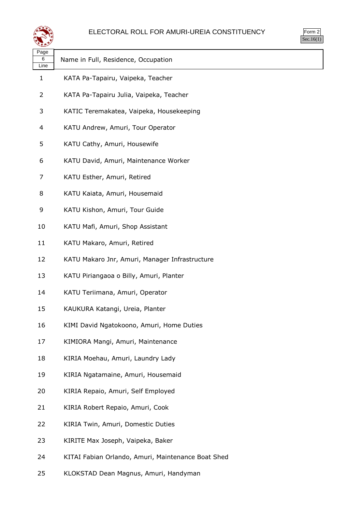

| u<br>г<br>٠<br>r, |
|-------------------|
|                   |

| لتستعيث           |                                                    |
|-------------------|----------------------------------------------------|
| Page<br>6<br>Line | Name in Full, Residence, Occupation                |
| 1                 | KATA Pa-Tapairu, Vaipeka, Teacher                  |
| 2                 | KATA Pa-Tapairu Julia, Vaipeka, Teacher            |
| 3                 | KATIC Teremakatea, Vaipeka, Housekeeping           |
| 4                 | KATU Andrew, Amuri, Tour Operator                  |
| 5                 | KATU Cathy, Amuri, Housewife                       |
| 6                 | KATU David, Amuri, Maintenance Worker              |
| 7                 | KATU Esther, Amuri, Retired                        |
| 8                 | KATU Kaiata, Amuri, Housemaid                      |
| 9                 | KATU Kishon, Amuri, Tour Guide                     |
| 10                | KATU Mafi, Amuri, Shop Assistant                   |
| 11                | KATU Makaro, Amuri, Retired                        |
| 12                | KATU Makaro Jnr, Amuri, Manager Infrastructure     |
| 13                | KATU Piriangaoa o Billy, Amuri, Planter            |
| 14                | KATU Teriimana, Amuri, Operator                    |
| 15                | KAUKURA Katangi, Ureia, Planter                    |
| 16                | KIMI David Ngatokoono, Amuri, Home Duties          |
| 17                | KIMIORA Mangi, Amuri, Maintenance                  |
| 18                | KIRIA Moehau, Amuri, Laundry Lady                  |
| 19                | KIRIA Ngatamaine, Amuri, Housemaid                 |
| 20                | KIRIA Repaio, Amuri, Self Employed                 |
| 21                | KIRIA Robert Repaio, Amuri, Cook                   |
| 22                | KIRIA Twin, Amuri, Domestic Duties                 |
| 23                | KIRITE Max Joseph, Vaipeka, Baker                  |
| 24                | KITAI Fabian Orlando, Amuri, Maintenance Boat Shed |
|                   |                                                    |

KLOKSTAD Dean Magnus, Amuri, Handyman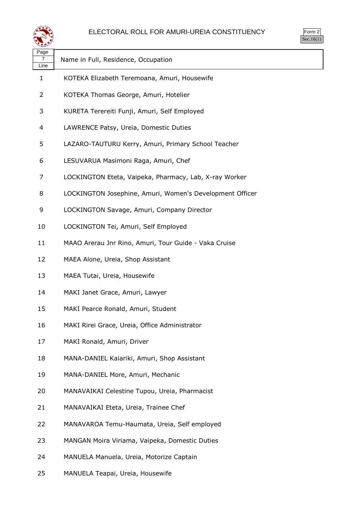



| Page<br>7<br>Line | Name in Full, Residence, Occupation                      |
|-------------------|----------------------------------------------------------|
| 1                 | KOTEKA Elizabeth Teremoana, Amuri, Housewife             |
| 2                 | KOTEKA Thomas George, Amuri, Hotelier                    |
| 3                 | KURETA Terereiti Funji, Amuri, Self Employed             |
| 4                 | LAWRENCE Patsy, Ureia, Domestic Duties                   |
| 5                 | LAZARO-TAUTURU Kerry, Amuri, Primary School Teacher      |
| 6                 | LESUVARUA Masimoni Raga, Amuri, Chef                     |
| 7                 | LOCKINGTON Eteta, Vaipeka, Pharmacy, Lab, X-ray Worker   |
| 8                 | LOCKINGTON Josephine, Amuri, Women's Development Officer |
| 9                 | LOCKINGTON Savage, Amuri, Company Director               |
| 10                | LOCKINGTON Tei, Amuri, Self Employed                     |
| 11                | MAAO Arerau Jnr Rino, Amuri, Tour Guide - Vaka Cruise    |
| 12                | MAEA Alone, Ureia, Shop Assistant                        |
| 13                | MAEA Tutai, Ureia, Housewife                             |
| 14                | MAKI Janet Grace, Amuri, Lawyer                          |
| 15                | MAKI Pearce Ronald, Amuri, Student                       |
| 16                | MAKI Rirei Grace, Ureia, Office Administrator            |
| 17                | MAKI Ronald, Amuri, Driver                               |
| 18                | MANA-DANIEL Kaiariki, Amuri, Shop Assistant              |
| 19                | MANA-DANIEL More, Amuri, Mechanic                        |
| 20                | MANAVAIKAI Celestine Tupou, Ureia, Pharmacist            |
| 21                | MANAVAIKAI Eteta, Ureia, Trainee Chef                    |
| 22                | MANAVAROA Temu-Haumata, Ureia, Self employed             |
| 23                | MANGAN Moira Viriama, Vaipeka, Domestic Duties           |
| 24                | MANUELA Manuela, Ureia, Motorize Captain                 |
| 25                | MANUELA Teapai, Ureia, Housewife                         |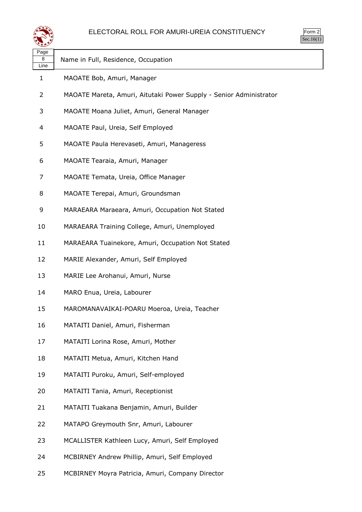

| Page<br>8<br>Line | Name in Full, Residence, Occupation                                |
|-------------------|--------------------------------------------------------------------|
| 1                 | MAOATE Bob, Amuri, Manager                                         |
| 2                 | MAOATE Mareta, Amuri, Aitutaki Power Supply - Senior Administrator |
| 3                 | MAOATE Moana Juliet, Amuri, General Manager                        |
| 4                 | MAOATE Paul, Ureia, Self Employed                                  |
| 5                 | MAOATE Paula Herevaseti, Amuri, Manageress                         |
| 6                 | MAOATE Tearaia, Amuri, Manager                                     |
| 7                 | MAOATE Temata, Ureia, Office Manager                               |
| 8                 | MAOATE Terepai, Amuri, Groundsman                                  |
| 9                 | MARAEARA Maraeara, Amuri, Occupation Not Stated                    |
| 10                | MARAEARA Training College, Amuri, Unemployed                       |
| 11                | MARAEARA Tuainekore, Amuri, Occupation Not Stated                  |
| 12                | MARIE Alexander, Amuri, Self Employed                              |
| 13                | MARIE Lee Arohanui, Amuri, Nurse                                   |
| 14                | MARO Enua, Ureia, Labourer                                         |
| 15                | MAROMANAVAIKAI-POARU Moeroa, Ureia, Teacher                        |
| 16                | MATAITI Daniel, Amuri, Fisherman                                   |
| 17                | MATAITI Lorina Rose, Amuri, Mother                                 |
| 18                | MATAITI Metua, Amuri, Kitchen Hand                                 |
| 19                | MATAITI Puroku, Amuri, Self-employed                               |
| 20                | MATAITI Tania, Amuri, Receptionist                                 |
| 21                | MATAITI Tuakana Benjamin, Amuri, Builder                           |
| 22                | MATAPO Greymouth Snr, Amuri, Labourer                              |
| 23                | MCALLISTER Kathleen Lucy, Amuri, Self Employed                     |
| 24                | MCBIRNEY Andrew Phillip, Amuri, Self Employed                      |
| 25                | MCBIRNEY Moyra Patricia, Amuri, Company Director                   |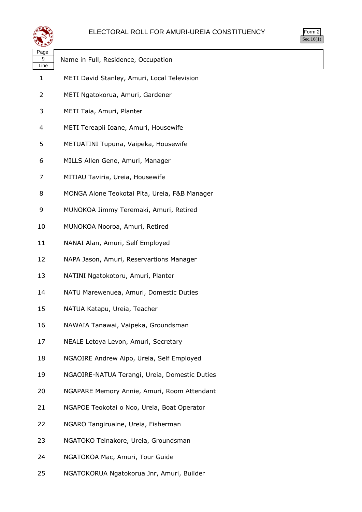

| ື້                |                                               |
|-------------------|-----------------------------------------------|
| Page<br>9<br>Line | Name in Full, Residence, Occupation           |
| $\mathbf{1}$      | METI David Stanley, Amuri, Local Television   |
| $\overline{2}$    | METI Ngatokorua, Amuri, Gardener              |
| 3                 | METI Taia, Amuri, Planter                     |
| 4                 | METI Tereapii Ioane, Amuri, Housewife         |
| 5                 | METUATINI Tupuna, Vaipeka, Housewife          |
| 6                 | MILLS Allen Gene, Amuri, Manager              |
| 7                 | MITIAU Taviria, Ureia, Housewife              |
| 8                 | MONGA Alone Teokotai Pita, Ureia, F&B Manager |
| 9                 | MUNOKOA Jimmy Teremaki, Amuri, Retired        |
| 10                | MUNOKOA Nooroa, Amuri, Retired                |
| 11                | NANAI Alan, Amuri, Self Employed              |
| 12                | NAPA Jason, Amuri, Reservartions Manager      |
| 13                | NATINI Ngatokotoru, Amuri, Planter            |
| 14                | NATU Marewenuea, Amuri, Domestic Duties       |
| 15                | NATUA Katapu, Ureia, Teacher                  |
| 16                | NAWAIA Tanawai, Vaipeka, Groundsman           |
| 17                | NEALE Letoya Levon, Amuri, Secretary          |
| 18                | NGAOIRE Andrew Aipo, Ureia, Self Employed     |
| 19                | NGAOIRE-NATUA Terangi, Ureia, Domestic Duties |
| 20                | NGAPARE Memory Annie, Amuri, Room Attendant   |
| 21                | NGAPOE Teokotai o Noo, Ureia, Boat Operator   |
| 22                | NGARO Tangiruaine, Ureia, Fisherman           |
| 23                | NGATOKO Teinakore, Ureia, Groundsman          |
| 24                | NGATOKOA Mac, Amuri, Tour Guide               |
|                   |                                               |

NGATOKORUA Ngatokorua Jnr, Amuri, Builder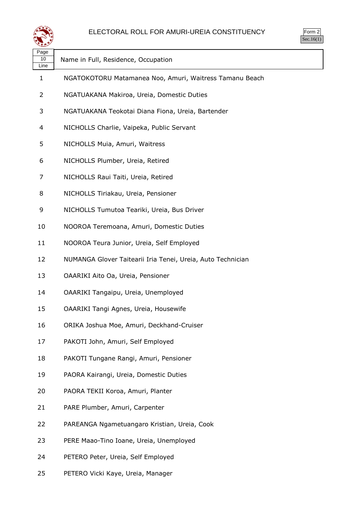

| Page<br>10<br>Line | Name in Full, Residence, Occupation                         |
|--------------------|-------------------------------------------------------------|
| 1                  | NGATOKOTORU Matamanea Noo, Amuri, Waitress Tamanu Beach     |
| 2                  | NGATUAKANA Makiroa, Ureia, Domestic Duties                  |
| 3                  | NGATUAKANA Teokotai Diana Fiona, Ureia, Bartender           |
| 4                  | NICHOLLS Charlie, Vaipeka, Public Servant                   |
| 5                  | NICHOLLS Muia, Amuri, Waitress                              |
| 6                  | NICHOLLS Plumber, Ureia, Retired                            |
| 7                  | NICHOLLS Raui Taiti, Ureia, Retired                         |
| 8                  | NICHOLLS Tiriakau, Ureia, Pensioner                         |
| 9                  | NICHOLLS Tumutoa Teariki, Ureia, Bus Driver                 |
| 10                 | NOOROA Teremoana, Amuri, Domestic Duties                    |
| 11                 | NOOROA Teura Junior, Ureia, Self Employed                   |
| 12                 | NUMANGA Glover Taitearii Iria Tenei, Ureia, Auto Technician |
| 13                 | OAARIKI Aito Oa, Ureia, Pensioner                           |
| 14                 | OAARIKI Tangaipu, Ureia, Unemployed                         |
| 15                 | OAARIKI Tangi Agnes, Ureia, Housewife                       |
| 16                 | ORIKA Joshua Moe, Amuri, Deckhand-Cruiser                   |
| 17                 | PAKOTI John, Amuri, Self Employed                           |
| 18                 | PAKOTI Tungane Rangi, Amuri, Pensioner                      |
| 19                 | PAORA Kairangi, Ureia, Domestic Duties                      |
| 20                 | PAORA TEKII Koroa, Amuri, Planter                           |
| 21                 | PARE Plumber, Amuri, Carpenter                              |
| 22                 | PAREANGA Ngametuangaro Kristian, Ureia, Cook                |
| 23                 | PERE Maao-Tino Ioane, Ureia, Unemployed                     |
| 24                 | PETERO Peter, Ureia, Self Employed                          |
| 25                 | PETERO Vicki Kaye, Ureia, Manager                           |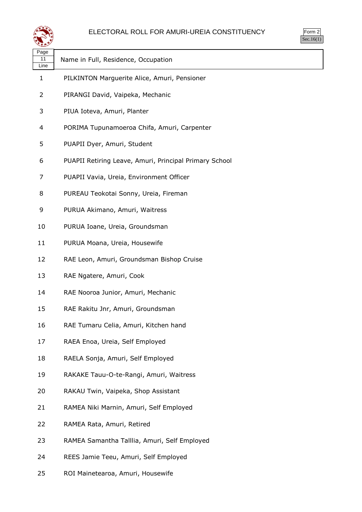

| Page<br>11<br>Line | Name in Full, Residence, Occupation                    |
|--------------------|--------------------------------------------------------|
| $\mathbf{1}$       | PILKINTON Marguerite Alice, Amuri, Pensioner           |
| 2                  | PIRANGI David, Vaipeka, Mechanic                       |
| 3                  | PIUA Ioteva, Amuri, Planter                            |
| 4                  | PORIMA Tupunamoeroa Chifa, Amuri, Carpenter            |
| 5                  | PUAPII Dyer, Amuri, Student                            |
| 6                  | PUAPII Retiring Leave, Amuri, Principal Primary School |
| 7                  | PUAPII Vavia, Ureia, Environment Officer               |
| 8                  | PUREAU Teokotai Sonny, Ureia, Fireman                  |
| 9                  | PURUA Akimano, Amuri, Waitress                         |
| 10                 | PURUA Ioane, Ureia, Groundsman                         |
| 11                 | PURUA Moana, Ureia, Housewife                          |
| 12                 | RAE Leon, Amuri, Groundsman Bishop Cruise              |
| 13                 | RAE Ngatere, Amuri, Cook                               |
| 14                 | RAE Nooroa Junior, Amuri, Mechanic                     |
| 15                 | RAE Rakitu Jnr, Amuri, Groundsman                      |
| 16                 | RAE Tumaru Celia, Amuri, Kitchen hand                  |
| 17                 | RAEA Enoa, Ureia, Self Employed                        |
| 18                 | RAELA Sonja, Amuri, Self Employed                      |
| 19                 | RAKAKE Tauu-O-te-Rangi, Amuri, Waitress                |
| 20                 | RAKAU Twin, Vaipeka, Shop Assistant                    |
| 21                 | RAMEA Niki Marnin, Amuri, Self Employed                |
| 22                 | RAMEA Rata, Amuri, Retired                             |
| 23                 | RAMEA Samantha Talllia, Amuri, Self Employed           |
| 24                 | REES Jamie Teeu, Amuri, Self Employed                  |
|                    |                                                        |

ROI Mainetearoa, Amuri, Housewife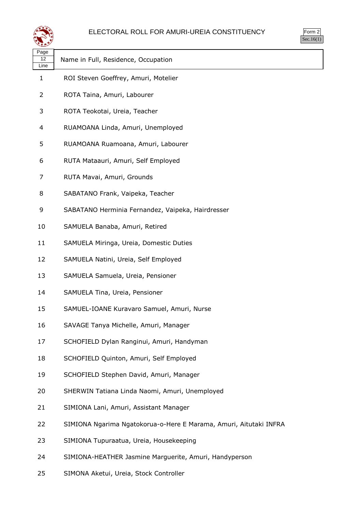



| પ∓≠У               |                                                                   |
|--------------------|-------------------------------------------------------------------|
| Page<br>12<br>Line | Name in Full, Residence, Occupation                               |
| $\mathbf{1}$       | ROI Steven Goeffrey, Amuri, Motelier                              |
| 2                  | ROTA Taina, Amuri, Labourer                                       |
| 3                  | ROTA Teokotai, Ureia, Teacher                                     |
| 4                  | RUAMOANA Linda, Amuri, Unemployed                                 |
| 5                  | RUAMOANA Ruamoana, Amuri, Labourer                                |
| 6                  | RUTA Mataauri, Amuri, Self Employed                               |
| 7                  | RUTA Mavai, Amuri, Grounds                                        |
| 8                  | SABATANO Frank, Vaipeka, Teacher                                  |
| 9                  | SABATANO Herminia Fernandez, Vaipeka, Hairdresser                 |
| 10                 | SAMUELA Banaba, Amuri, Retired                                    |
| 11                 | SAMUELA Miringa, Ureia, Domestic Duties                           |
| 12                 | SAMUELA Natini, Ureia, Self Employed                              |
| 13                 | SAMUELA Samuela, Ureia, Pensioner                                 |
| 14                 | SAMUELA Tina, Ureia, Pensioner                                    |
| 15                 | SAMUEL-IOANE Kuravaro Samuel, Amuri, Nurse                        |
| 16                 | SAVAGE Tanya Michelle, Amuri, Manager                             |
| 17                 | SCHOFIELD Dylan Ranginui, Amuri, Handyman                         |
| 18                 | SCHOFIELD Quinton, Amuri, Self Employed                           |
| 19                 | SCHOFIELD Stephen David, Amuri, Manager                           |
| 20                 | SHERWIN Tatiana Linda Naomi, Amuri, Unemployed                    |
| 21                 | SIMIONA Lani, Amuri, Assistant Manager                            |
| 22                 | SIMIONA Ngarima Ngatokorua-o-Here E Marama, Amuri, Aitutaki INFRA |
| 23                 | SIMIONA Tupuraatua, Ureia, Housekeeping                           |
| 24                 | SIMIONA-HEATHER Jasmine Marguerite, Amuri, Handyperson            |
|                    |                                                                   |

SIMONA Aketui, Ureia, Stock Controller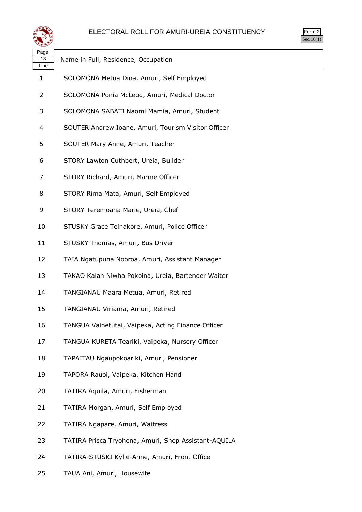

| Page<br>13<br>Line | Name in Full, Residence, Occupation                  |
|--------------------|------------------------------------------------------|
| 1                  | SOLOMONA Metua Dina, Amuri, Self Employed            |
| 2                  | SOLOMONA Ponia McLeod, Amuri, Medical Doctor         |
| 3                  | SOLOMONA SABATI Naomi Mamia, Amuri, Student          |
| 4                  | SOUTER Andrew Ioane, Amuri, Tourism Visitor Officer  |
| 5                  | SOUTER Mary Anne, Amuri, Teacher                     |
| 6                  | STORY Lawton Cuthbert, Ureia, Builder                |
| 7                  | STORY Richard, Amuri, Marine Officer                 |
| 8                  | STORY Rima Mata, Amuri, Self Employed                |
| 9                  | STORY Teremoana Marie, Ureia, Chef                   |
| 10                 | STUSKY Grace Teinakore, Amuri, Police Officer        |
| 11                 | STUSKY Thomas, Amuri, Bus Driver                     |
| 12                 | TAIA Ngatupuna Nooroa, Amuri, Assistant Manager      |
| 13                 | TAKAO Kalan Niwha Pokoina, Ureia, Bartender Waiter   |
| 14                 | TANGIANAU Maara Metua, Amuri, Retired                |
| 15                 | TANGIANAU Viriama, Amuri, Retired                    |
| 16                 | TANGUA Vainetutai, Vaipeka, Acting Finance Officer   |
| 17                 | TANGUA KURETA Teariki, Vaipeka, Nursery Officer      |
| 18                 | TAPAITAU Ngaupokoariki, Amuri, Pensioner             |
| 19                 | TAPORA Rauoi, Vaipeka, Kitchen Hand                  |
| 20                 | TATIRA Aquila, Amuri, Fisherman                      |
| 21                 | TATIRA Morgan, Amuri, Self Employed                  |
| 22                 | TATIRA Ngapare, Amuri, Waitress                      |
| 23                 | TATIRA Prisca Tryohena, Amuri, Shop Assistant-AQUILA |
| 24                 | TATIRA-STUSKI Kylie-Anne, Amuri, Front Office        |
| 25                 | TAUA Ani, Amuri, Housewife                           |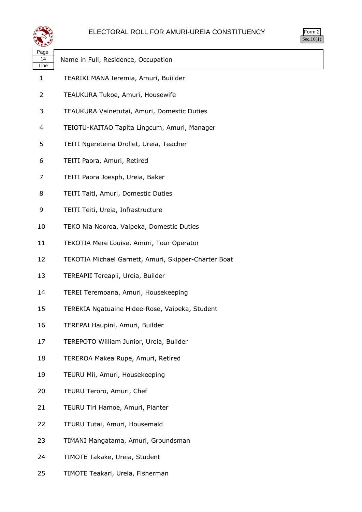

| $\overline{3}$ rm<br>╯ |  |
|------------------------|--|
| . I                    |  |

| ∽                  |                                                      |
|--------------------|------------------------------------------------------|
| Page<br>14<br>Line | Name in Full, Residence, Occupation                  |
| $\mathbf{1}$       | TEARIKI MANA Ieremia, Amuri, Buiilder                |
| 2                  | TEAUKURA Tukoe, Amuri, Housewife                     |
| 3                  | TEAUKURA Vainetutai, Amuri, Domestic Duties          |
| 4                  | TEIOTU-KAITAO Tapita Lingcum, Amuri, Manager         |
| 5                  | TEITI Ngereteina Drollet, Ureia, Teacher             |
| 6                  | TEITI Paora, Amuri, Retired                          |
| 7                  | TEITI Paora Joesph, Ureia, Baker                     |
| 8                  | TEITI Taiti, Amuri, Domestic Duties                  |
| 9                  | TEITI Teiti, Ureia, Infrastructure                   |
| 10                 | TEKO Nia Nooroa, Vaipeka, Domestic Duties            |
| 11                 | TEKOTIA Mere Louise, Amuri, Tour Operator            |
| 12                 | TEKOTIA Michael Garnett, Amuri, Skipper-Charter Boat |
| 13                 | TEREAPII Tereapii, Ureia, Builder                    |
| 14                 | TEREI Teremoana, Amuri, Housekeeping                 |
| 15                 | TEREKIA Ngatuaine Hidee-Rose, Vaipeka, Student       |
| 16                 | TEREPAI Haupini, Amuri, Builder                      |
| 17                 | TEREPOTO William Junior, Ureia, Builder              |
| 18                 | TEREROA Makea Rupe, Amuri, Retired                   |
| 19                 | TEURU Mii, Amuri, Housekeeping                       |
| 20                 | TEURU Teroro, Amuri, Chef                            |
| 21                 | TEURU Tiri Hamoe, Amuri, Planter                     |
| 22                 | TEURU Tutai, Amuri, Housemaid                        |
| 23                 | TIMANI Mangatama, Amuri, Groundsman                  |
| 24                 | TIMOTE Takake, Ureia, Student                        |
| 25                 | TIMOTE Teakari, Ureia, Fisherman                     |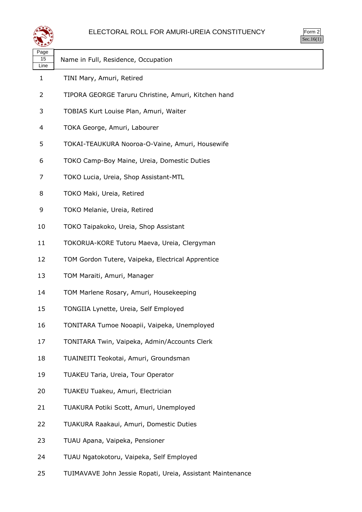



| ີ້ີ້               |                                                     |
|--------------------|-----------------------------------------------------|
| Page<br>15<br>Line | Name in Full, Residence, Occupation                 |
| 1                  | TINI Mary, Amuri, Retired                           |
| 2                  | TIPORA GEORGE Taruru Christine, Amuri, Kitchen hand |
| 3                  | TOBIAS Kurt Louise Plan, Amuri, Waiter              |
| 4                  | TOKA George, Amuri, Labourer                        |
| 5                  | TOKAI-TEAUKURA Nooroa-O-Vaine, Amuri, Housewife     |
| 6                  | TOKO Camp-Boy Maine, Ureia, Domestic Duties         |
| 7                  | TOKO Lucia, Ureia, Shop Assistant-MTL               |
| 8                  | TOKO Maki, Ureia, Retired                           |
| 9                  | TOKO Melanie, Ureia, Retired                        |
| 10                 | TOKO Taipakoko, Ureia, Shop Assistant               |
| 11                 | TOKORUA-KORE Tutoru Maeva, Ureia, Clergyman         |
| 12                 | TOM Gordon Tutere, Vaipeka, Electrical Apprentice   |
| 13                 | TOM Maraiti, Amuri, Manager                         |
| 14                 | TOM Marlene Rosary, Amuri, Housekeeping             |
| 15                 | TONGIIA Lynette, Ureia, Self Employed               |
| 16                 | TONITARA Tumoe Nooapii, Vaipeka, Unemployed         |
| 17                 | TONITARA Twin, Vaipeka, Admin/Accounts Clerk        |
| 18                 | TUAINEITI Teokotai, Amuri, Groundsman               |
| 19                 | TUAKEU Taria, Ureia, Tour Operator                  |
| 20                 | TUAKEU Tuakeu, Amuri, Electrician                   |
| 21                 | TUAKURA Potiki Scott, Amuri, Unemployed             |
| 22                 | TUAKURA Raakaui, Amuri, Domestic Duties             |
| 23                 | TUAU Apana, Vaipeka, Pensioner                      |
| 24                 | TUAU Ngatokotoru, Vaipeka, Self Employed            |

TUIMAVAVE John Jessie Ropati, Ureia, Assistant Maintenance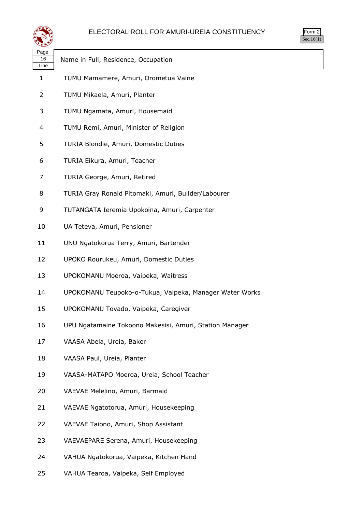

| પ∓≠У               |                                                         |
|--------------------|---------------------------------------------------------|
| Page<br>16<br>Line | Name in Full, Residence, Occupation                     |
| 1                  | TUMU Mamamere, Amuri, Orometua Vaine                    |
| $\overline{2}$     | TUMU Mikaela, Amuri, Planter                            |
| 3                  | TUMU Ngamata, Amuri, Housemaid                          |
| 4                  | TUMU Remi, Amuri, Minister of Religion                  |
| 5                  | TURIA Blondie, Amuri, Domestic Duties                   |
| 6                  | TURIA Eikura, Amuri, Teacher                            |
| 7                  | TURIA George, Amuri, Retired                            |
| 8                  | TURIA Gray Ronald Pitomaki, Amuri, Builder/Labourer     |
| 9                  | TUTANGATA Ieremia Upokoina, Amuri, Carpenter            |
| 10                 | UA Teteva, Amuri, Pensioner                             |
| 11                 | UNU Ngatokorua Terry, Amuri, Bartender                  |
| 12                 | UPOKO Rourukeu, Amuri, Domestic Duties                  |
| 13                 | UPOKOMANU Moeroa, Vaipeka, Waitress                     |
| 14                 | UPOKOMANU Teupoko-o-Tukua, Vaipeka, Manager Water Works |
| 15                 | UPOKOMANU Tovado, Vaipeka, Caregiver                    |
| 16                 | UPU Ngatamaine Tokoono Makesisi, Amuri, Station Manager |
| 17                 | VAASA Abela, Ureia, Baker                               |
| 18                 | VAASA Paul, Ureia, Planter                              |
| 19                 | VAASA-MATAPO Moeroa, Ureia, School Teacher              |
| 20                 | VAEVAE Melelino, Amuri, Barmaid                         |
| 21                 | VAEVAE Ngatotorua, Amuri, Housekeeping                  |
| 22                 | VAEVAE Taiono, Amuri, Shop Assistant                    |
| 23                 | VAEVAEPARE Serena, Amuri, Housekeeping                  |
| 24                 | VAHUA Ngatokorua, Vaipeka, Kitchen Hand                 |
| 25                 | VAHUA Tearoa, Vaipeka, Self Employed                    |